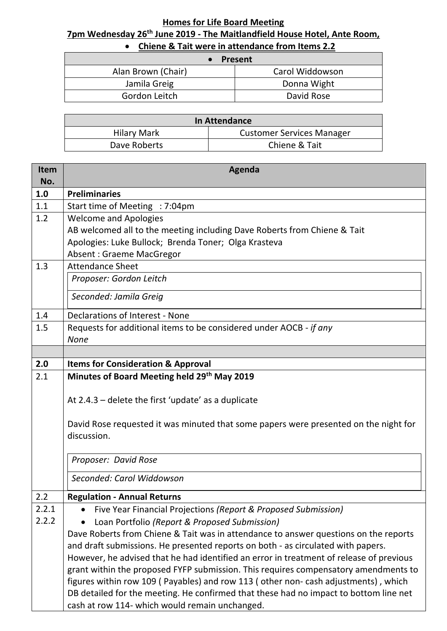## **Homes for Life Board Meeting 7pm Wednesday 26 th June 2019 - The Maitlandfield House Hotel, Ante Room,**

| <b>Present</b>     |                 |
|--------------------|-----------------|
| Alan Brown (Chair) | Carol Widdowson |
| Jamila Greig       | Donna Wight     |
| Gordon Leitch      | David Rose      |

| In Attendance |                                  |  |
|---------------|----------------------------------|--|
| Hilary Mark   | <b>Customer Services Manager</b> |  |
| Dave Roberts  | Chiene & Tait                    |  |
|               |                                  |  |

| Item<br>No. | Agenda                                                                                  |  |
|-------------|-----------------------------------------------------------------------------------------|--|
| 1.0         | <b>Preliminaries</b>                                                                    |  |
| 1.1         | Start time of Meeting : 7:04pm                                                          |  |
| 1.2         | <b>Welcome and Apologies</b>                                                            |  |
|             | AB welcomed all to the meeting including Dave Roberts from Chiene & Tait                |  |
|             | Apologies: Luke Bullock; Brenda Toner; Olga Krasteva                                    |  |
|             | <b>Absent: Graeme MacGregor</b>                                                         |  |
| 1.3         | <b>Attendance Sheet</b>                                                                 |  |
|             | Proposer: Gordon Leitch                                                                 |  |
|             | Seconded: Jamila Greig                                                                  |  |
| 1.4         | <b>Declarations of Interest - None</b>                                                  |  |
| 1.5         | Requests for additional items to be considered under AOCB - if any                      |  |
|             | <b>None</b>                                                                             |  |
|             |                                                                                         |  |
| 2.0         | <b>Items for Consideration &amp; Approval</b>                                           |  |
| 2.1         | Minutes of Board Meeting held 29 <sup>th</sup> May 2019                                 |  |
|             | At $2.4.3$ – delete the first 'update' as a duplicate                                   |  |
|             | David Rose requested it was minuted that some papers were presented on the night for    |  |
|             | discussion.                                                                             |  |
|             | Proposer: David Rose                                                                    |  |
|             | Seconded: Carol Widdowson                                                               |  |
| 2.2         | <b>Regulation - Annual Returns</b>                                                      |  |
| 2.2.1       | Five Year Financial Projections (Report & Proposed Submission)<br>$\bullet$             |  |
| 2.2.2       | Loan Portfolio (Report & Proposed Submission)                                           |  |
|             | Dave Roberts from Chiene & Tait was in attendance to answer questions on the reports    |  |
|             | and draft submissions. He presented reports on both - as circulated with papers.        |  |
|             | However, he advised that he had identified an error in treatment of release of previous |  |
|             | grant within the proposed FYFP submission. This requires compensatory amendments to     |  |
|             | figures within row 109 (Payables) and row 113 (other non- cash adjustments), which      |  |
|             | DB detailed for the meeting. He confirmed that these had no impact to bottom line net   |  |
|             | cash at row 114- which would remain unchanged.                                          |  |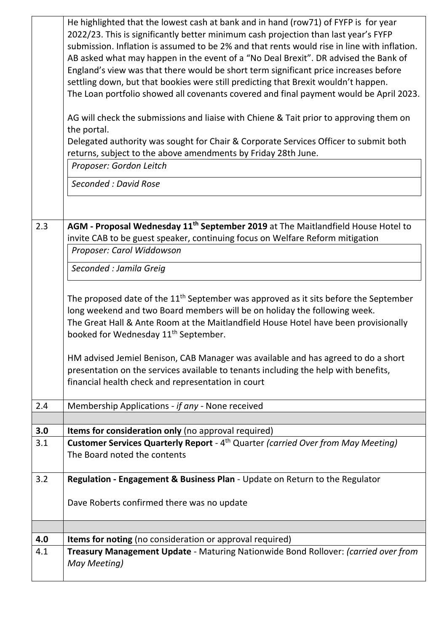|                                                                                             | He highlighted that the lowest cash at bank and in hand (row71) of FYFP is for year<br>2022/23. This is significantly better minimum cash projection than last year's FYFP |  |  |  |  |
|---------------------------------------------------------------------------------------------|----------------------------------------------------------------------------------------------------------------------------------------------------------------------------|--|--|--|--|
| submission. Inflation is assumed to be 2% and that rents would rise in line with inflation. |                                                                                                                                                                            |  |  |  |  |
|                                                                                             | AB asked what may happen in the event of a "No Deal Brexit". DR advised the Bank of                                                                                        |  |  |  |  |
|                                                                                             | England's view was that there would be short term significant price increases before                                                                                       |  |  |  |  |
|                                                                                             | settling down, but that bookies were still predicting that Brexit wouldn't happen.                                                                                         |  |  |  |  |
|                                                                                             | The Loan portfolio showed all covenants covered and final payment would be April 2023.                                                                                     |  |  |  |  |
|                                                                                             | AG will check the submissions and liaise with Chiene & Tait prior to approving them on<br>the portal.                                                                      |  |  |  |  |
|                                                                                             | Delegated authority was sought for Chair & Corporate Services Officer to submit both<br>returns, subject to the above amendments by Friday 28th June.                      |  |  |  |  |
|                                                                                             | Proposer: Gordon Leitch                                                                                                                                                    |  |  |  |  |
|                                                                                             | Seconded: David Rose                                                                                                                                                       |  |  |  |  |
|                                                                                             |                                                                                                                                                                            |  |  |  |  |
| 2.3                                                                                         | AGM - Proposal Wednesday 11 <sup>th</sup> September 2019 at The Maitlandfield House Hotel to                                                                               |  |  |  |  |
|                                                                                             | invite CAB to be guest speaker, continuing focus on Welfare Reform mitigation                                                                                              |  |  |  |  |
|                                                                                             | Proposer: Carol Widdowson                                                                                                                                                  |  |  |  |  |
|                                                                                             | Seconded : Jamila Greig                                                                                                                                                    |  |  |  |  |
|                                                                                             |                                                                                                                                                                            |  |  |  |  |
|                                                                                             | The proposed date of the $11th$ September was approved as it sits before the September                                                                                     |  |  |  |  |
|                                                                                             | long weekend and two Board members will be on holiday the following week.                                                                                                  |  |  |  |  |
|                                                                                             | The Great Hall & Ante Room at the Maitlandfield House Hotel have been provisionally                                                                                        |  |  |  |  |
|                                                                                             | booked for Wednesday 11 <sup>th</sup> September.                                                                                                                           |  |  |  |  |
|                                                                                             | HM advised Jemiel Benison, CAB Manager was available and has agreed to do a short                                                                                          |  |  |  |  |
|                                                                                             | presentation on the services available to tenants including the help with benefits,                                                                                        |  |  |  |  |
|                                                                                             | financial health check and representation in court                                                                                                                         |  |  |  |  |
|                                                                                             |                                                                                                                                                                            |  |  |  |  |
| 2.4                                                                                         | Membership Applications - if any - None received                                                                                                                           |  |  |  |  |
| 3.0                                                                                         | Items for consideration only (no approval required)                                                                                                                        |  |  |  |  |
| 3.1                                                                                         | <b>Customer Services Quarterly Report</b> - 4 <sup>th</sup> Quarter (carried Over from May Meeting)                                                                        |  |  |  |  |
|                                                                                             | The Board noted the contents                                                                                                                                               |  |  |  |  |
|                                                                                             |                                                                                                                                                                            |  |  |  |  |
| 3.2                                                                                         | Regulation - Engagement & Business Plan - Update on Return to the Regulator                                                                                                |  |  |  |  |
|                                                                                             | Dave Roberts confirmed there was no update                                                                                                                                 |  |  |  |  |
|                                                                                             |                                                                                                                                                                            |  |  |  |  |
|                                                                                             |                                                                                                                                                                            |  |  |  |  |
| 4.0                                                                                         | <b>Items for noting</b> (no consideration or approval required)                                                                                                            |  |  |  |  |
| 4.1                                                                                         | Treasury Management Update - Maturing Nationwide Bond Rollover: (carried over from                                                                                         |  |  |  |  |
|                                                                                             |                                                                                                                                                                            |  |  |  |  |
|                                                                                             | May Meeting)                                                                                                                                                               |  |  |  |  |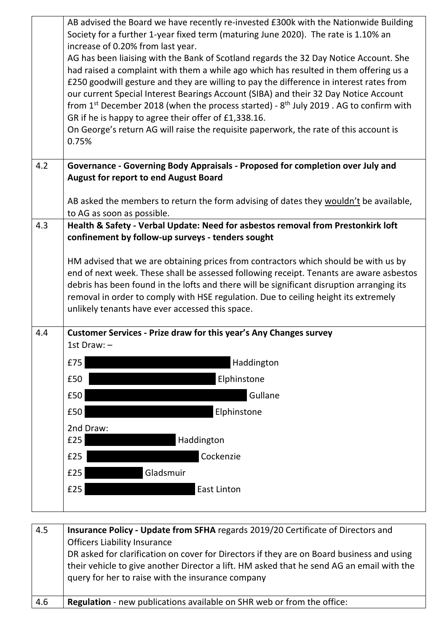|     | AB advised the Board we have recently re-invested £300k with the Nationwide Building                                                                                             |  |  |  |
|-----|----------------------------------------------------------------------------------------------------------------------------------------------------------------------------------|--|--|--|
|     | Society for a further 1-year fixed term (maturing June 2020). The rate is 1.10% an                                                                                               |  |  |  |
|     | increase of 0.20% from last year.                                                                                                                                                |  |  |  |
|     | AG has been liaising with the Bank of Scotland regards the 32 Day Notice Account. She                                                                                            |  |  |  |
|     | had raised a complaint with them a while ago which has resulted in them offering us a<br>£250 goodwill gesture and they are willing to pay the difference in interest rates from |  |  |  |
|     |                                                                                                                                                                                  |  |  |  |
|     | our current Special Interest Bearings Account (SIBA) and their 32 Day Notice Account                                                                                             |  |  |  |
|     | from 1 <sup>st</sup> December 2018 (when the process started) - $8th$ July 2019 . AG to confirm with<br>GR if he is happy to agree their offer of £1,338.16.                     |  |  |  |
|     | On George's return AG will raise the requisite paperwork, the rate of this account is                                                                                            |  |  |  |
|     | 0.75%                                                                                                                                                                            |  |  |  |
| 4.2 | Governance - Governing Body Appraisals - Proposed for completion over July and                                                                                                   |  |  |  |
|     | <b>August for report to end August Board</b>                                                                                                                                     |  |  |  |
|     | AB asked the members to return the form advising of dates they wouldn't be available,                                                                                            |  |  |  |
|     | to AG as soon as possible.                                                                                                                                                       |  |  |  |
| 4.3 | Health & Safety - Verbal Update: Need for asbestos removal from Prestonkirk loft<br>confinement by follow-up surveys - tenders sought                                            |  |  |  |
|     | HM advised that we are obtaining prices from contractors which should be with us by                                                                                              |  |  |  |
|     | end of next week. These shall be assessed following receipt. Tenants are aware asbestos                                                                                          |  |  |  |
|     | debris has been found in the lofts and there will be significant disruption arranging its                                                                                        |  |  |  |
|     | removal in order to comply with HSE regulation. Due to ceiling height its extremely                                                                                              |  |  |  |
|     | unlikely tenants have ever accessed this space.                                                                                                                                  |  |  |  |
| 4.4 | Customer Services - Prize draw for this year's Any Changes survey                                                                                                                |  |  |  |
|     | 1st Draw: $-$                                                                                                                                                                    |  |  |  |
|     | Haddington<br>£75                                                                                                                                                                |  |  |  |
|     | Elphinstone<br>£50                                                                                                                                                               |  |  |  |
|     | Gullane<br>£50                                                                                                                                                                   |  |  |  |
|     | Elphinstone<br>£50                                                                                                                                                               |  |  |  |
|     | 2nd Draw:                                                                                                                                                                        |  |  |  |
|     | Haddington<br>£25                                                                                                                                                                |  |  |  |
|     | Cockenzie<br>£25                                                                                                                                                                 |  |  |  |
|     | Gladsmuir<br>£25                                                                                                                                                                 |  |  |  |
|     | <b>East Linton</b><br>£25                                                                                                                                                        |  |  |  |
|     |                                                                                                                                                                                  |  |  |  |

| 4.5 | Insurance Policy - Update from SFHA regards 2019/20 Certificate of Directors and                                                                                                                                                            |
|-----|---------------------------------------------------------------------------------------------------------------------------------------------------------------------------------------------------------------------------------------------|
|     | <b>Officers Liability Insurance</b>                                                                                                                                                                                                         |
|     | DR asked for clarification on cover for Directors if they are on Board business and using<br>their vehicle to give another Director a lift. HM asked that he send AG an email with the<br>query for her to raise with the insurance company |
| 4.6 | <b>Regulation</b> - new publications available on SHR web or from the office:                                                                                                                                                               |